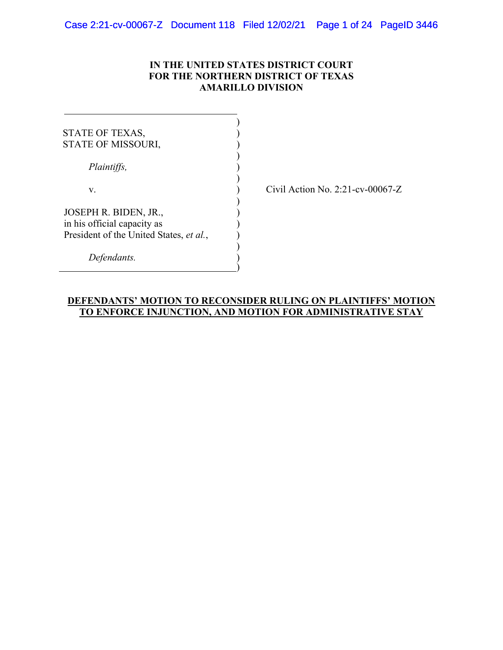## **IN THE UNITED STATES DISTRICT COURT FOR THE NORTHERN DISTRICT OF TEXAS AMARILLO DIVISION**

| STATE OF TEXAS,<br>STATE OF MISSOURI,                                  |  |
|------------------------------------------------------------------------|--|
| <i>Plaintiffs,</i>                                                     |  |
| V.                                                                     |  |
| JOSEPH R. BIDEN, JR.,                                                  |  |
| in his official capacity as<br>President of the United States, et al., |  |
| Defendants.                                                            |  |

Civil Action No. 2:21-cv-00067-Z

# **DEFENDANTS' MOTION TO RECONSIDER RULING ON PLAINTIFFS' MOTION TO ENFORCE INJUNCTION, AND MOTION FOR ADMINISTRATIVE STAY**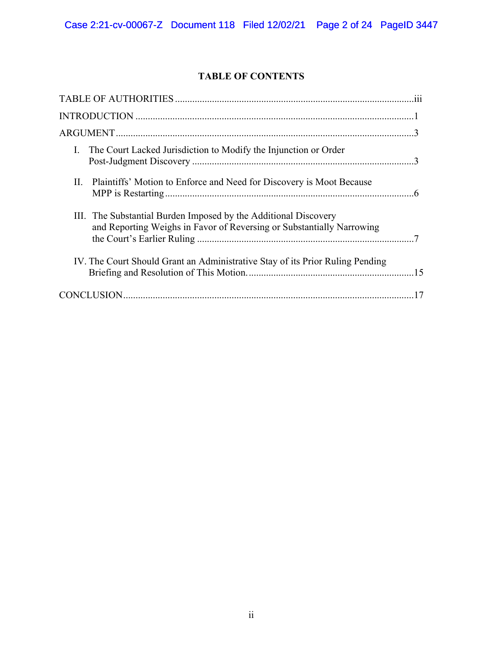# **TABLE OF CONTENTS**

| I. The Court Lacked Jurisdiction to Modify the Injunction or Order                                                                       |    |
|------------------------------------------------------------------------------------------------------------------------------------------|----|
| II. Plaintiffs' Motion to Enforce and Need for Discovery is Moot Because                                                                 |    |
| III. The Substantial Burden Imposed by the Additional Discovery<br>and Reporting Weighs in Favor of Reversing or Substantially Narrowing |    |
| IV. The Court Should Grant an Administrative Stay of its Prior Ruling Pending                                                            |    |
|                                                                                                                                          | 17 |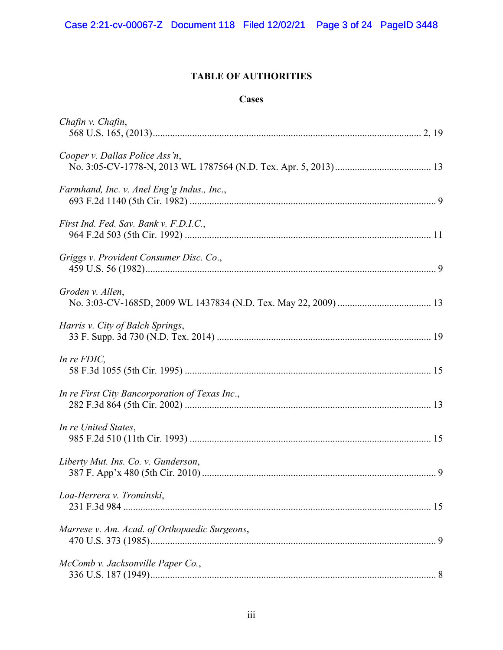# **TABLE OF AUTHORITIES**

# **Cases**

| Chafin v. Chafin,                              |
|------------------------------------------------|
| Cooper v. Dallas Police Ass'n,                 |
| Farmhand, Inc. v. Anel Eng'g Indus., Inc.,     |
| First Ind. Fed. Sav. Bank v. F.D.I.C.,         |
| Griggs v. Provident Consumer Disc. Co.,        |
| Groden v. Allen,                               |
| Harris v. City of Balch Springs,               |
| In re $FDIC$ ,                                 |
| In re First City Bancorporation of Texas Inc., |
| In re United States,                           |
| Liberty Mut. Ins. Co. v. Gunderson,            |
| Loa-Herrera v. Trominski,                      |
| Marrese v. Am. Acad. of Orthopaedic Surgeons,  |
| McComb v. Jacksonville Paper Co.,              |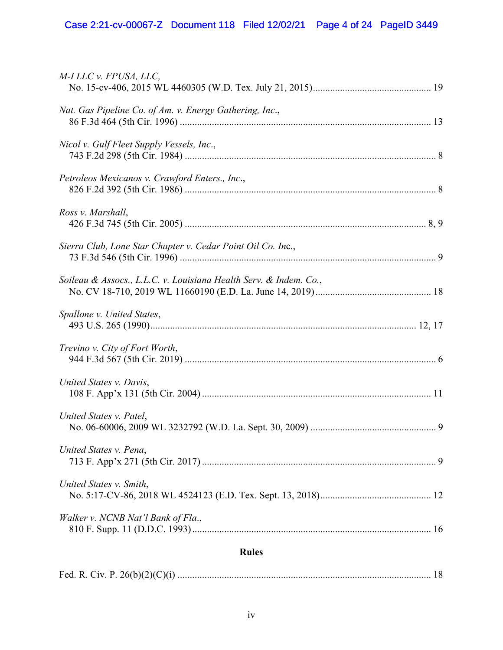| <b>Rules</b>                                                      |  |  |
|-------------------------------------------------------------------|--|--|
| Walker v. NCNB Nat'l Bank of Fla.,                                |  |  |
| United States v. Smith,                                           |  |  |
| United States v. Pena,                                            |  |  |
| United States v. Patel,                                           |  |  |
| United States v. Davis,                                           |  |  |
| Trevino v. City of Fort Worth,                                    |  |  |
| Spallone v. United States,                                        |  |  |
| Soileau & Assocs., L.L.C. v. Louisiana Health Serv. & Indem. Co., |  |  |
| Sierra Club, Lone Star Chapter v. Cedar Point Oil Co. Inc.,       |  |  |
| Ross v. Marshall,                                                 |  |  |
| Petroleos Mexicanos v. Crawford Enters., Inc.,                    |  |  |
| Nicol v. Gulf Fleet Supply Vessels, Inc.,                         |  |  |
| Nat. Gas Pipeline Co. of Am. v. Energy Gathering, Inc.,           |  |  |
| M-I LLC v. FPUSA, LLC,                                            |  |  |

|--|--|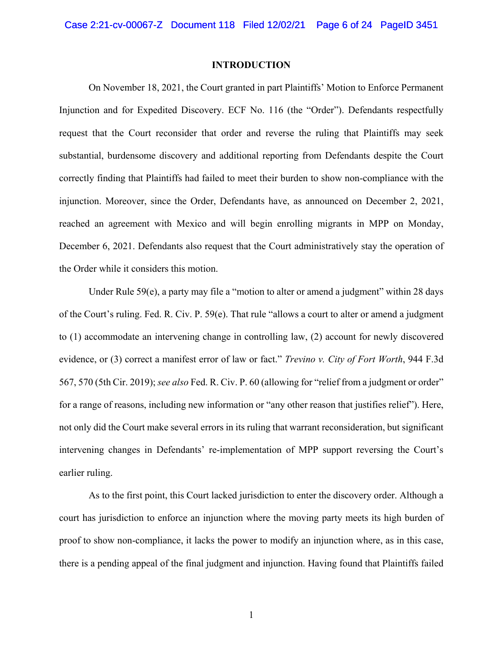#### **INTRODUCTION**

On November 18, 2021, the Court granted in part Plaintiffs' Motion to Enforce Permanent Injunction and for Expedited Discovery. ECF No. 116 (the "Order"). Defendants respectfully request that the Court reconsider that order and reverse the ruling that Plaintiffs may seek substantial, burdensome discovery and additional reporting from Defendants despite the Court correctly finding that Plaintiffs had failed to meet their burden to show non-compliance with the injunction. Moreover, since the Order, Defendants have, as announced on December 2, 2021, reached an agreement with Mexico and will begin enrolling migrants in MPP on Monday, December 6, 2021. Defendants also request that the Court administratively stay the operation of the Order while it considers this motion.

Under Rule 59(e), a party may file a "motion to alter or amend a judgment" within 28 days of the Court's ruling. Fed. R. Civ. P.  $59(e)$ . That rule "allows a court to alter or amend a judgment to (1) accommodate an intervening change in controlling law, (2) account for newly discovered evidence, or (3) correct a manifest error of law or fact." *Trevino v. City of Fort Worth*, 944 F.3d 567, 570 (5th Cir. 2019); *see also* Fed. R. Civ. P. 60 (allowing for "relief from a judgment or order" for a range of reasons, including new information or "any other reason that justifies relief"). Here, not only did the Court make several errors in its ruling that warrant reconsideration, but significant intervening changes in Defendants' re-implementation of MPP support reversing the Court's earlier ruling.

As to the first point, this Court lacked jurisdiction to enter the discovery order. Although a court has jurisdiction to enforce an injunction where the moving party meets its high burden of proof to show non-compliance, it lacks the power to modify an injunction where, as in this case, there is a pending appeal of the final judgment and injunction. Having found that Plaintiffs failed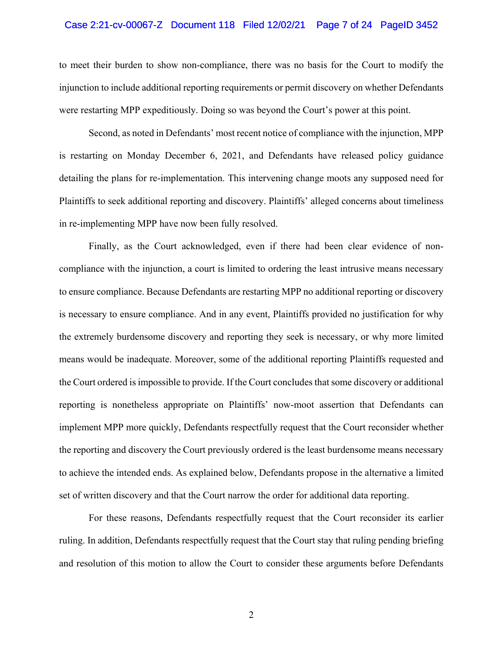### Case 2:21-cv-00067-Z Document 118 Filed 12/02/21 Page 7 of 24 PageID 3452

to meet their burden to show non-compliance, there was no basis for the Court to modify the injunction to include additional reporting requirements or permit discovery on whether Defendants were restarting MPP expeditiously. Doing so was beyond the Court's power at this point.

Second, as noted in Defendants' most recent notice of compliance with the injunction, MPP is restarting on Monday December 6, 2021, and Defendants have released policy guidance detailing the plans for re-implementation. This intervening change moots any supposed need for Plaintiffs to seek additional reporting and discovery. Plaintiffs' alleged concerns about timeliness in re-implementing MPP have now been fully resolved.

Finally, as the Court acknowledged, even if there had been clear evidence of noncompliance with the injunction, a court is limited to ordering the least intrusive means necessary to ensure compliance. Because Defendants are restarting MPP no additional reporting or discovery is necessary to ensure compliance. And in any event, Plaintiffs provided no justification for why the extremely burdensome discovery and reporting they seek is necessary, or why more limited means would be inadequate. Moreover, some of the additional reporting Plaintiffs requested and the Court ordered is impossible to provide. If the Court concludes that some discovery or additional reporting is nonetheless appropriate on Plaintiffs' now-moot assertion that Defendants can implement MPP more quickly, Defendants respectfully request that the Court reconsider whether the reporting and discovery the Court previously ordered is the least burdensome means necessary to achieve the intended ends. As explained below, Defendants propose in the alternative a limited set of written discovery and that the Court narrow the order for additional data reporting.

For these reasons, Defendants respectfully request that the Court reconsider its earlier ruling. In addition, Defendants respectfully request that the Court stay that ruling pending briefing and resolution of this motion to allow the Court to consider these arguments before Defendants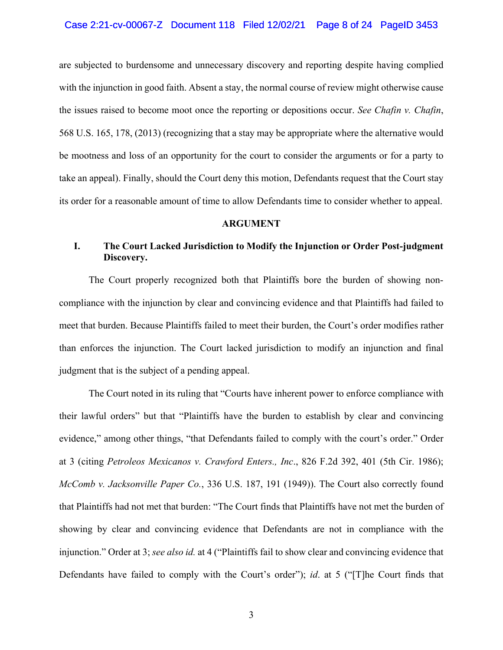#### Case 2:21-cv-00067-Z Document 118 Filed 12/02/21 Page 8 of 24 PageID 3453

are subjected to burdensome and unnecessary discovery and reporting despite having complied with the injunction in good faith. Absent a stay, the normal course of review might otherwise cause the issues raised to become moot once the reporting or depositions occur. *See Chafin v. Chafin*, 568 U.S. 165, 178, (2013) (recognizing that a stay may be appropriate where the alternative would be mootness and loss of an opportunity for the court to consider the arguments or for a party to take an appeal). Finally, should the Court deny this motion, Defendants request that the Court stay its order for a reasonable amount of time to allow Defendants time to consider whether to appeal.

### **ARGUMENT**

# **I. The Court Lacked Jurisdiction to Modify the Injunction or Order Post-judgment Discovery.**

The Court properly recognized both that Plaintiffs bore the burden of showing noncompliance with the injunction by clear and convincing evidence and that Plaintiffs had failed to meet that burden. Because Plaintiffs failed to meet their burden, the Court's order modifies rather than enforces the injunction. The Court lacked jurisdiction to modify an injunction and final judgment that is the subject of a pending appeal.

The Court noted in its ruling that "Courts have inherent power to enforce compliance with their lawful orders" but that "Plaintiffs have the burden to establish by clear and convincing evidence," among other things, "that Defendants failed to comply with the court's order." Order at 3 (citing *Petroleos Mexicanos v. Crawford Enters., Inc*., 826 F.2d 392, 401 (5th Cir. 1986); *McComb v. Jacksonville Paper Co.*, 336 U.S. 187, 191 (1949)). The Court also correctly found that Plaintiffs had not met that burden: "The Court finds that Plaintiffs have not met the burden of showing by clear and convincing evidence that Defendants are not in compliance with the injunction." Order at 3; *see also id.* at 4 ("Plaintiffs fail to show clear and convincing evidence that Defendants have failed to comply with the Court's order"); *id*. at 5 ("[T]he Court finds that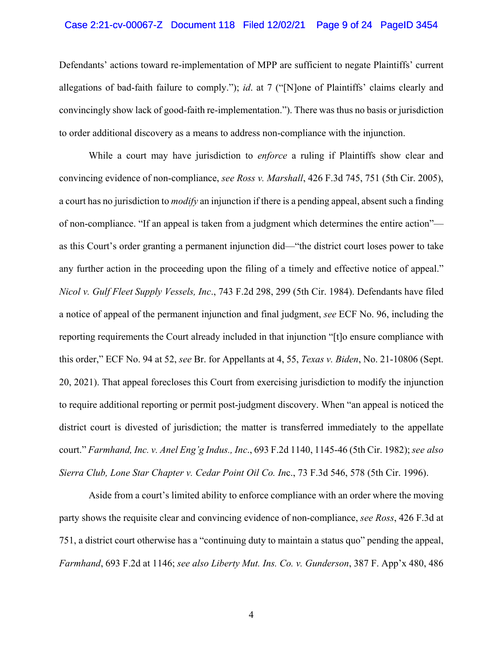### Case 2:21-cv-00067-Z Document 118 Filed 12/02/21 Page 9 of 24 PageID 3454

Defendants' actions toward re-implementation of MPP are sufficient to negate Plaintiffs' current allegations of bad-faith failure to comply."); *id*. at 7 ("[N]one of Plaintiffs' claims clearly and convincingly show lack of good-faith re-implementation."). There was thus no basis or jurisdiction to order additional discovery as a means to address non-compliance with the injunction.

While a court may have jurisdiction to *enforce* a ruling if Plaintiffs show clear and convincing evidence of non-compliance, *see Ross v. Marshall*, 426 F.3d 745, 751 (5th Cir. 2005), a court has no jurisdiction to *modify* an injunction if there is a pending appeal, absent such a finding of non-compliance. "If an appeal is taken from a judgment which determines the entire action" as this Court's order granting a permanent injunction did—"the district court loses power to take any further action in the proceeding upon the filing of a timely and effective notice of appeal." *Nicol v. Gulf Fleet Supply Vessels, Inc*., 743 F.2d 298, 299 (5th Cir. 1984). Defendants have filed a notice of appeal of the permanent injunction and final judgment, *see* ECF No. 96, including the reporting requirements the Court already included in that injunction "[t]o ensure compliance with this order," ECF No. 94 at 52, *see* Br. for Appellants at 4, 55, *Texas v. Biden*, No. 21-10806 (Sept. 20, 2021). That appeal forecloses this Court from exercising jurisdiction to modify the injunction to require additional reporting or permit post-judgment discovery. When "an appeal is noticed the district court is divested of jurisdiction; the matter is transferred immediately to the appellate court." *Farmhand, Inc. v. Anel Eng'g Indus., Inc*., 693 F.2d 1140, 1145-46 (5th Cir. 1982); *see also Sierra Club, Lone Star Chapter v. Cedar Point Oil Co. In*c., 73 F.3d 546, 578 (5th Cir. 1996).

Aside from a court's limited ability to enforce compliance with an order where the moving party shows the requisite clear and convincing evidence of non-compliance, *see Ross*, 426 F.3d at 751, a district court otherwise has a "continuing duty to maintain a status quo" pending the appeal, *Farmhand*, 693 F.2d at 1146; *see also Liberty Mut. Ins. Co. v. Gunderson*, 387 F. App'x 480, 486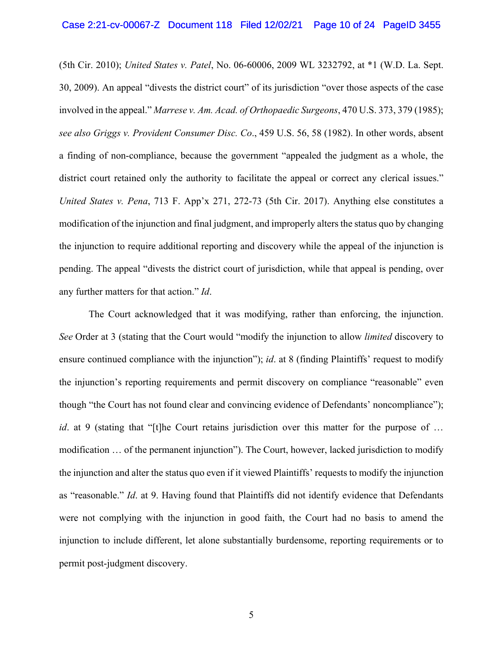(5th Cir. 2010); *United States v. Patel*, No. 06-60006, 2009 WL 3232792, at \*1 (W.D. La. Sept. 30, 2009). An appeal "divests the district court" of its jurisdiction "over those aspects of the case involved in the appeal." *Marrese v. Am. Acad. of Orthopaedic Surgeons*, 470 U.S. 373, 379 (1985); *see also Griggs v. Provident Consumer Disc. Co*., 459 U.S. 56, 58 (1982). In other words, absent a finding of non-compliance, because the government "appealed the judgment as a whole, the district court retained only the authority to facilitate the appeal or correct any clerical issues." *United States v. Pena*, 713 F. App'x 271, 272-73 (5th Cir. 2017). Anything else constitutes a modification of the injunction and final judgment, and improperly alters the status quo by changing the injunction to require additional reporting and discovery while the appeal of the injunction is pending. The appeal "divests the district court of jurisdiction, while that appeal is pending, over any further matters for that action." *Id*.

The Court acknowledged that it was modifying, rather than enforcing, the injunction. *See* Order at 3 (stating that the Court would "modify the injunction to allow *limited* discovery to ensure continued compliance with the injunction"); *id*. at 8 (finding Plaintiffs' request to modify the injunction's reporting requirements and permit discovery on compliance "reasonable" even though "the Court has not found clear and convincing evidence of Defendants' noncompliance"); *id*. at 9 (stating that "[t]he Court retains jurisdiction over this matter for the purpose of ... modification … of the permanent injunction"). The Court, however, lacked jurisdiction to modify the injunction and alter the status quo even if it viewed Plaintiffs' requests to modify the injunction as "reasonable." *Id*. at 9. Having found that Plaintiffs did not identify evidence that Defendants were not complying with the injunction in good faith, the Court had no basis to amend the injunction to include different, let alone substantially burdensome, reporting requirements or to permit post-judgment discovery.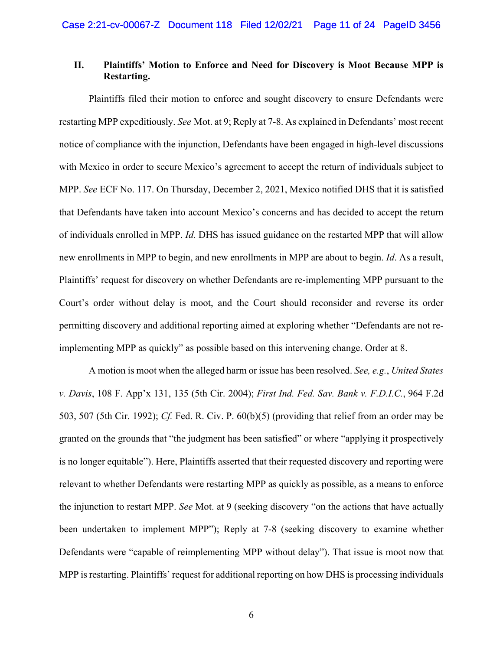## **II. Plaintiffs' Motion to Enforce and Need for Discovery is Moot Because MPP is Restarting.**

Plaintiffs filed their motion to enforce and sought discovery to ensure Defendants were restarting MPP expeditiously. *See* Mot. at 9; Reply at 7-8. As explained in Defendants' most recent notice of compliance with the injunction, Defendants have been engaged in high-level discussions with Mexico in order to secure Mexico's agreement to accept the return of individuals subject to MPP. *See* ECF No. 117. On Thursday, December 2, 2021, Mexico notified DHS that it is satisfied that Defendants have taken into account Mexico's concerns and has decided to accept the return of individuals enrolled in MPP. *Id.* DHS has issued guidance on the restarted MPP that will allow new enrollments in MPP to begin, and new enrollments in MPP are about to begin. *Id*. As a result, Plaintiffs' request for discovery on whether Defendants are re-implementing MPP pursuant to the Court's order without delay is moot, and the Court should reconsider and reverse its order permitting discovery and additional reporting aimed at exploring whether "Defendants are not reimplementing MPP as quickly" as possible based on this intervening change. Order at 8.

A motion is moot when the alleged harm or issue has been resolved. *See, e.g.*, *United States v. Davis*, 108 F. App'x 131, 135 (5th Cir. 2004); *First Ind. Fed. Sav. Bank v. F.D.I.C.*, 964 F.2d 503, 507 (5th Cir. 1992); *Cf.* Fed. R. Civ. P. 60(b)(5) (providing that relief from an order may be granted on the grounds that "the judgment has been satisfied" or where "applying it prospectively is no longer equitable"). Here, Plaintiffs asserted that their requested discovery and reporting were relevant to whether Defendants were restarting MPP as quickly as possible, as a means to enforce the injunction to restart MPP. *See* Mot. at 9 (seeking discovery "on the actions that have actually been undertaken to implement MPP"); Reply at 7-8 (seeking discovery to examine whether Defendants were "capable of reimplementing MPP without delay"). That issue is moot now that MPP is restarting. Plaintiffs' request for additional reporting on how DHS is processing individuals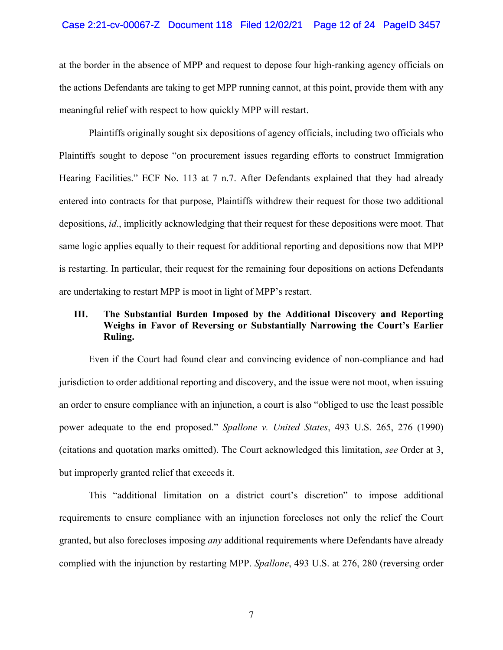### Case 2:21-cv-00067-Z Document 118 Filed 12/02/21 Page 12 of 24 PageID 3457

at the border in the absence of MPP and request to depose four high-ranking agency officials on the actions Defendants are taking to get MPP running cannot, at this point, provide them with any meaningful relief with respect to how quickly MPP will restart.

Plaintiffs originally sought six depositions of agency officials, including two officials who Plaintiffs sought to depose "on procurement issues regarding efforts to construct Immigration Hearing Facilities." ECF No. 113 at 7 n.7. After Defendants explained that they had already entered into contracts for that purpose, Plaintiffs withdrew their request for those two additional depositions, *id*., implicitly acknowledging that their request for these depositions were moot. That same logic applies equally to their request for additional reporting and depositions now that MPP is restarting. In particular, their request for the remaining four depositions on actions Defendants are undertaking to restart MPP is moot in light of MPP's restart.

## **III. The Substantial Burden Imposed by the Additional Discovery and Reporting Weighs in Favor of Reversing or Substantially Narrowing the Court's Earlier Ruling.**

Even if the Court had found clear and convincing evidence of non-compliance and had jurisdiction to order additional reporting and discovery, and the issue were not moot, when issuing an order to ensure compliance with an injunction, a court is also "obliged to use the least possible power adequate to the end proposed." *Spallone v. United States*, 493 U.S. 265, 276 (1990) (citations and quotation marks omitted). The Court acknowledged this limitation, *see* Order at 3, but improperly granted relief that exceeds it.

This "additional limitation on a district court's discretion" to impose additional requirements to ensure compliance with an injunction forecloses not only the relief the Court granted, but also forecloses imposing *any* additional requirements where Defendants have already complied with the injunction by restarting MPP. *Spallone*, 493 U.S. at 276, 280 (reversing order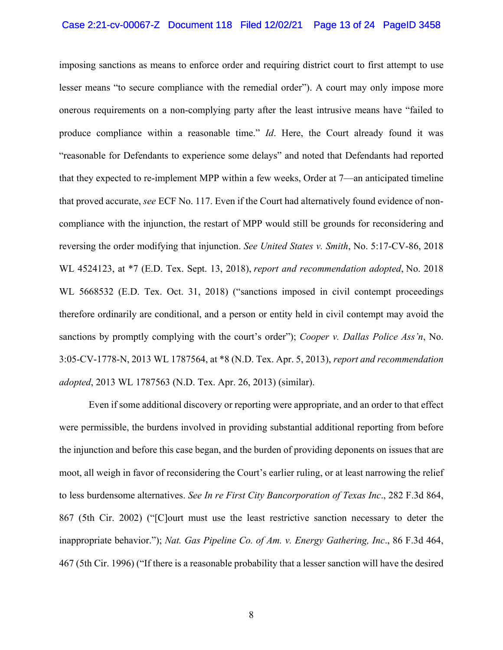### Case 2:21-cv-00067-Z Document 118 Filed 12/02/21 Page 13 of 24 PageID 3458

imposing sanctions as means to enforce order and requiring district court to first attempt to use lesser means "to secure compliance with the remedial order"). A court may only impose more onerous requirements on a non-complying party after the least intrusive means have "failed to produce compliance within a reasonable time." *Id*. Here, the Court already found it was "reasonable for Defendants to experience some delays" and noted that Defendants had reported that they expected to re-implement MPP within a few weeks, Order at 7—an anticipated timeline that proved accurate, *see* ECF No. 117. Even if the Court had alternatively found evidence of noncompliance with the injunction, the restart of MPP would still be grounds for reconsidering and reversing the order modifying that injunction. *See United States v. Smith*, No. 5:17-CV-86, 2018 WL 4524123, at \*7 (E.D. Tex. Sept. 13, 2018), *report and recommendation adopted*, No. 2018 WL 5668532 (E.D. Tex. Oct. 31, 2018) ("sanctions imposed in civil contempt proceedings therefore ordinarily are conditional, and a person or entity held in civil contempt may avoid the sanctions by promptly complying with the court's order"); *Cooper v. Dallas Police Ass'n*, No. 3:05-CV-1778-N, 2013 WL 1787564, at \*8 (N.D. Tex. Apr. 5, 2013), *report and recommendation adopted*, 2013 WL 1787563 (N.D. Tex. Apr. 26, 2013) (similar).

Even if some additional discovery or reporting were appropriate, and an order to that effect were permissible, the burdens involved in providing substantial additional reporting from before the injunction and before this case began, and the burden of providing deponents on issues that are moot, all weigh in favor of reconsidering the Court's earlier ruling, or at least narrowing the relief to less burdensome alternatives. *See In re First City Bancorporation of Texas Inc*., 282 F.3d 864, 867 (5th Cir. 2002) ("[C]ourt must use the least restrictive sanction necessary to deter the inappropriate behavior."); *Nat. Gas Pipeline Co. of Am. v. Energy Gathering, Inc*., 86 F.3d 464, 467 (5th Cir. 1996) ("If there is a reasonable probability that a lesser sanction will have the desired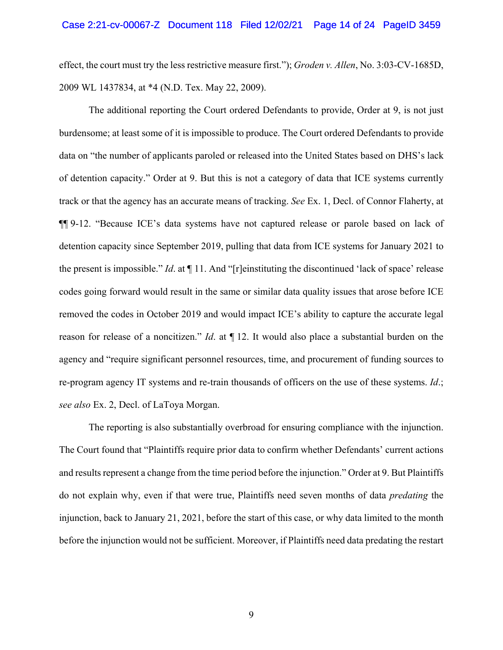effect, the court must try the less restrictive measure first."); *Groden v. Allen*, No. 3:03-CV-1685D, 2009 WL 1437834, at \*4 (N.D. Tex. May 22, 2009).

The additional reporting the Court ordered Defendants to provide, Order at 9, is not just burdensome; at least some of it is impossible to produce. The Court ordered Defendants to provide data on "the number of applicants paroled or released into the United States based on DHS's lack of detention capacity." Order at 9. But this is not a category of data that ICE systems currently track or that the agency has an accurate means of tracking. *See* Ex. 1, Decl. of Connor Flaherty, at ¶¶ 9-12. "Because ICE's data systems have not captured release or parole based on lack of detention capacity since September 2019, pulling that data from ICE systems for January 2021 to the present is impossible." *Id*. at ¶ 11. And "[r]einstituting the discontinued 'lack of space' release codes going forward would result in the same or similar data quality issues that arose before ICE removed the codes in October 2019 and would impact ICE's ability to capture the accurate legal reason for release of a noncitizen." *Id*. at ¶ 12. It would also place a substantial burden on the agency and "require significant personnel resources, time, and procurement of funding sources to re-program agency IT systems and re-train thousands of officers on the use of these systems. *Id*.; *see also* Ex. 2, Decl. of LaToya Morgan.

The reporting is also substantially overbroad for ensuring compliance with the injunction. The Court found that "Plaintiffs require prior data to confirm whether Defendants' current actions and results represent a change from the time period before the injunction." Order at 9. But Plaintiffs do not explain why, even if that were true, Plaintiffs need seven months of data *predating* the injunction, back to January 21, 2021, before the start of this case, or why data limited to the month before the injunction would not be sufficient. Moreover, if Plaintiffs need data predating the restart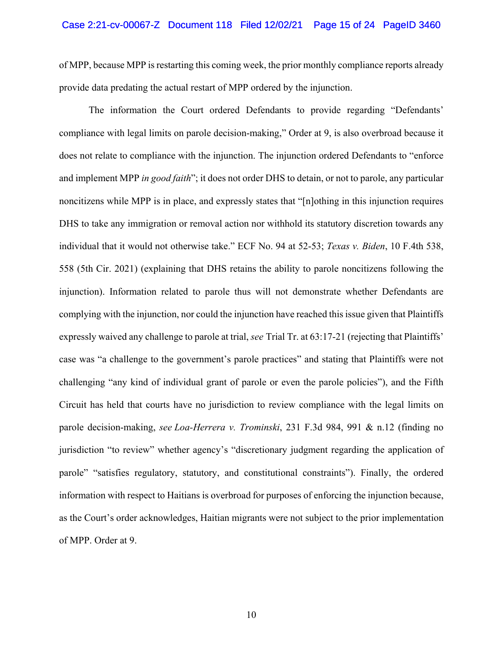### Case 2:21-cv-00067-Z Document 118 Filed 12/02/21 Page 15 of 24 PageID 3460

of MPP, because MPP is restarting this coming week, the prior monthly compliance reports already provide data predating the actual restart of MPP ordered by the injunction.

The information the Court ordered Defendants to provide regarding "Defendants' compliance with legal limits on parole decision-making," Order at 9, is also overbroad because it does not relate to compliance with the injunction. The injunction ordered Defendants to "enforce and implement MPP *in good faith*"; it does not order DHS to detain, or not to parole, any particular noncitizens while MPP is in place, and expressly states that "[n]othing in this injunction requires DHS to take any immigration or removal action nor withhold its statutory discretion towards any individual that it would not otherwise take." ECF No. 94 at 52-53; *Texas v. Biden*, 10 F.4th 538, 558 (5th Cir. 2021) (explaining that DHS retains the ability to parole noncitizens following the injunction). Information related to parole thus will not demonstrate whether Defendants are complying with the injunction, nor could the injunction have reached this issue given that Plaintiffs expressly waived any challenge to parole at trial, *see* Trial Tr. at 63:17-21 (rejecting that Plaintiffs' case was "a challenge to the government's parole practices" and stating that Plaintiffs were not challenging "any kind of individual grant of parole or even the parole policies"), and the Fifth Circuit has held that courts have no jurisdiction to review compliance with the legal limits on parole decision-making, *see Loa-Herrera v. Trominski*, 231 F.3d 984, 991 & n.12 (finding no jurisdiction "to review" whether agency's "discretionary judgment regarding the application of parole" "satisfies regulatory, statutory, and constitutional constraints"). Finally, the ordered information with respect to Haitians is overbroad for purposes of enforcing the injunction because, as the Court's order acknowledges, Haitian migrants were not subject to the prior implementation of MPP. Order at 9.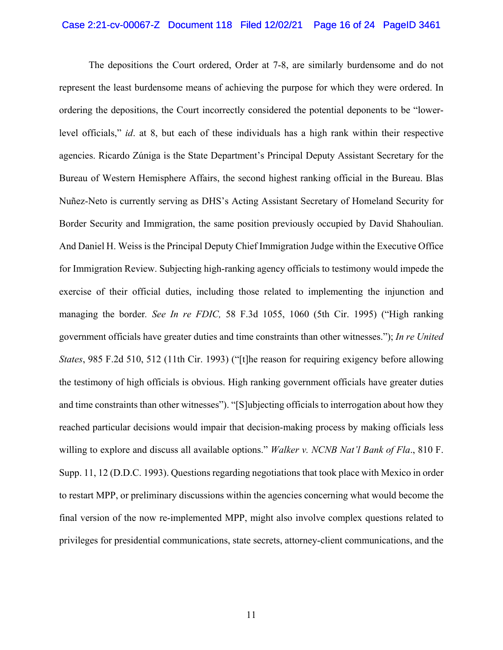### Case 2:21-cv-00067-Z Document 118 Filed 12/02/21 Page 16 of 24 PageID 3461

The depositions the Court ordered, Order at 7-8, are similarly burdensome and do not represent the least burdensome means of achieving the purpose for which they were ordered. In ordering the depositions, the Court incorrectly considered the potential deponents to be "lowerlevel officials," *id*. at 8, but each of these individuals has a high rank within their respective agencies. Ricardo Zúniga is the State Department's Principal Deputy Assistant Secretary for the Bureau of Western Hemisphere Affairs, the second highest ranking official in the Bureau. Blas Nuñez-Neto is currently serving as DHS's Acting Assistant Secretary of Homeland Security for Border Security and Immigration, the same position previously occupied by David Shahoulian. And Daniel H. Weiss is the Principal Deputy Chief Immigration Judge within the Executive Office for Immigration Review. Subjecting high-ranking agency officials to testimony would impede the exercise of their official duties, including those related to implementing the injunction and managing the border*. See In re FDIC,* 58 F.3d 1055, 1060 (5th Cir. 1995) ("High ranking government officials have greater duties and time constraints than other witnesses."); *In re United States*, 985 F.2d 510, 512 (11th Cir. 1993) ("[t]he reason for requiring exigency before allowing the testimony of high officials is obvious. High ranking government officials have greater duties and time constraints than other witnesses"). "[S]ubjecting officials to interrogation about how they reached particular decisions would impair that decision-making process by making officials less willing to explore and discuss all available options." *Walker v. NCNB Nat'l Bank of Fla*., 810 F. Supp. 11, 12 (D.D.C. 1993). Questions regarding negotiations that took place with Mexico in order to restart MPP, or preliminary discussions within the agencies concerning what would become the final version of the now re-implemented MPP, might also involve complex questions related to privileges for presidential communications, state secrets, attorney-client communications, and the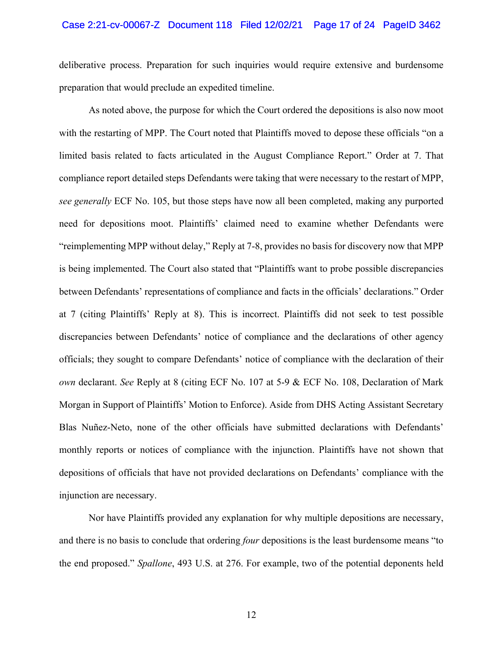#### Case 2:21-cv-00067-Z Document 118 Filed 12/02/21 Page 17 of 24 PageID 3462

deliberative process. Preparation for such inquiries would require extensive and burdensome preparation that would preclude an expedited timeline.

 As noted above, the purpose for which the Court ordered the depositions is also now moot with the restarting of MPP. The Court noted that Plaintiffs moved to depose these officials "on a limited basis related to facts articulated in the August Compliance Report." Order at 7. That compliance report detailed steps Defendants were taking that were necessary to the restart of MPP, *see generally* ECF No. 105, but those steps have now all been completed, making any purported need for depositions moot. Plaintiffs' claimed need to examine whether Defendants were "reimplementing MPP without delay," Reply at 7-8, provides no basis for discovery now that MPP is being implemented. The Court also stated that "Plaintiffs want to probe possible discrepancies between Defendants' representations of compliance and facts in the officials' declarations." Order at 7 (citing Plaintiffs' Reply at 8). This is incorrect. Plaintiffs did not seek to test possible discrepancies between Defendants' notice of compliance and the declarations of other agency officials; they sought to compare Defendants' notice of compliance with the declaration of their *own* declarant. *See* Reply at 8 (citing ECF No. 107 at 5-9 & ECF No. 108, Declaration of Mark Morgan in Support of Plaintiffs' Motion to Enforce). Aside from DHS Acting Assistant Secretary Blas Nuñez-Neto, none of the other officials have submitted declarations with Defendants' monthly reports or notices of compliance with the injunction. Plaintiffs have not shown that depositions of officials that have not provided declarations on Defendants' compliance with the injunction are necessary.

Nor have Plaintiffs provided any explanation for why multiple depositions are necessary, and there is no basis to conclude that ordering *four* depositions is the least burdensome means "to the end proposed." *Spallone*, 493 U.S. at 276. For example, two of the potential deponents held

12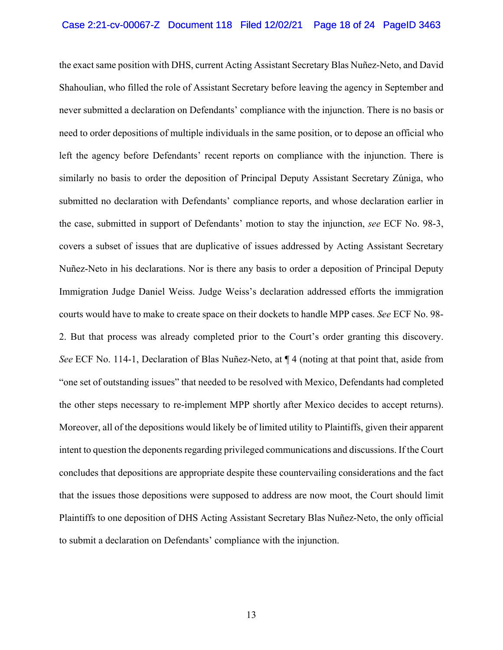the exact same position with DHS, current Acting Assistant Secretary Blas Nuñez-Neto, and David Shahoulian, who filled the role of Assistant Secretary before leaving the agency in September and never submitted a declaration on Defendants' compliance with the injunction. There is no basis or need to order depositions of multiple individuals in the same position, or to depose an official who left the agency before Defendants' recent reports on compliance with the injunction. There is similarly no basis to order the deposition of Principal Deputy Assistant Secretary Zúniga, who submitted no declaration with Defendants' compliance reports, and whose declaration earlier in the case, submitted in support of Defendants' motion to stay the injunction, *see* ECF No. 98-3, covers a subset of issues that are duplicative of issues addressed by Acting Assistant Secretary Nuñez-Neto in his declarations. Nor is there any basis to order a deposition of Principal Deputy Immigration Judge Daniel Weiss. Judge Weiss's declaration addressed efforts the immigration courts would have to make to create space on their dockets to handle MPP cases. *See* ECF No. 98- 2. But that process was already completed prior to the Court's order granting this discovery. *See* ECF No. 114-1, Declaration of Blas Nuñez-Neto, at  $\P$  4 (noting at that point that, aside from "one set of outstanding issues" that needed to be resolved with Mexico, Defendants had completed the other steps necessary to re-implement MPP shortly after Mexico decides to accept returns). Moreover, all of the depositions would likely be of limited utility to Plaintiffs, given their apparent intent to question the deponents regarding privileged communications and discussions. If the Court concludes that depositions are appropriate despite these countervailing considerations and the fact that the issues those depositions were supposed to address are now moot, the Court should limit Plaintiffs to one deposition of DHS Acting Assistant Secretary Blas Nuñez-Neto, the only official to submit a declaration on Defendants' compliance with the injunction.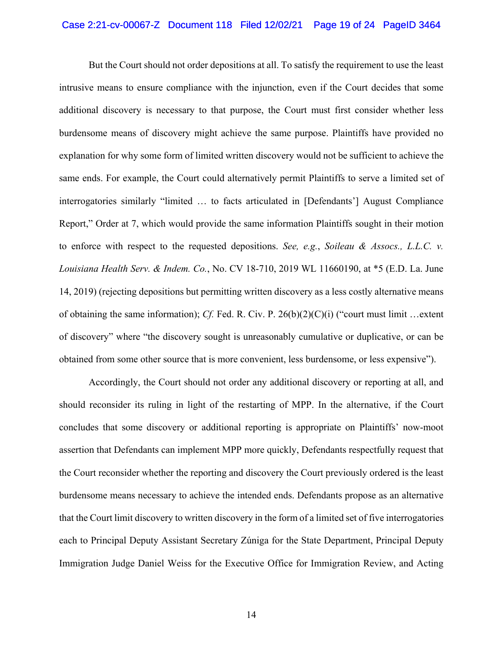But the Court should not order depositions at all. To satisfy the requirement to use the least intrusive means to ensure compliance with the injunction, even if the Court decides that some additional discovery is necessary to that purpose, the Court must first consider whether less burdensome means of discovery might achieve the same purpose. Plaintiffs have provided no explanation for why some form of limited written discovery would not be sufficient to achieve the same ends. For example, the Court could alternatively permit Plaintiffs to serve a limited set of interrogatories similarly "limited … to facts articulated in [Defendants'] August Compliance Report," Order at 7, which would provide the same information Plaintiffs sought in their motion to enforce with respect to the requested depositions. *See, e.g.*, *Soileau & Assocs., L.L.C. v. Louisiana Health Serv. & Indem. Co.*, No. CV 18-710, 2019 WL 11660190, at \*5 (E.D. La. June 14, 2019) (rejecting depositions but permitting written discovery as a less costly alternative means of obtaining the same information); *Cf.* Fed. R. Civ. P. 26(b)(2)(C)(i) ("court must limit …extent of discovery" where "the discovery sought is unreasonably cumulative or duplicative, or can be obtained from some other source that is more convenient, less burdensome, or less expensive").

Accordingly, the Court should not order any additional discovery or reporting at all, and should reconsider its ruling in light of the restarting of MPP. In the alternative, if the Court concludes that some discovery or additional reporting is appropriate on Plaintiffs' now-moot assertion that Defendants can implement MPP more quickly, Defendants respectfully request that the Court reconsider whether the reporting and discovery the Court previously ordered is the least burdensome means necessary to achieve the intended ends. Defendants propose as an alternative that the Court limit discovery to written discovery in the form of a limited set of five interrogatories each to Principal Deputy Assistant Secretary Zúniga for the State Department, Principal Deputy Immigration Judge Daniel Weiss for the Executive Office for Immigration Review, and Acting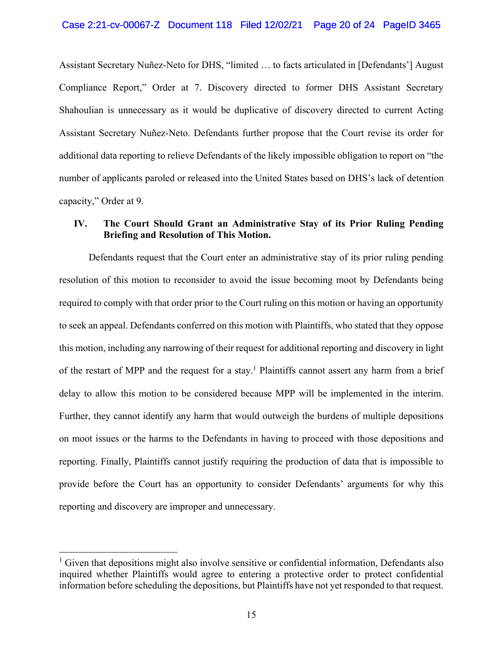Assistant Secretary Nuñez-Neto for DHS, "limited … to facts articulated in [Defendants'] August Compliance Report," Order at 7. Discovery directed to former DHS Assistant Secretary Shahoulian is unnecessary as it would be duplicative of discovery directed to current Acting Assistant Secretary Nuñez-Neto. Defendants further propose that the Court revise its order for additional data reporting to relieve Defendants of the likely impossible obligation to report on "the number of applicants paroled or released into the United States based on DHS's lack of detention capacity," Order at 9.

## **IV. The Court Should Grant an Administrative Stay of its Prior Ruling Pending Briefing and Resolution of This Motion.**

Defendants request that the Court enter an administrative stay of its prior ruling pending resolution of this motion to reconsider to avoid the issue becoming moot by Defendants being required to comply with that order prior to the Court ruling on this motion or having an opportunity to seek an appeal. Defendants conferred on this motion with Plaintiffs, who stated that they oppose this motion, including any narrowing of their request for additional reporting and discovery in light of the restart of MPP and the request for a stay.<sup>1</sup> Plaintiffs cannot assert any harm from a brief delay to allow this motion to be considered because MPP will be implemented in the interim. Further, they cannot identify any harm that would outweigh the burdens of multiple depositions on moot issues or the harms to the Defendants in having to proceed with those depositions and reporting. Finally, Plaintiffs cannot justify requiring the production of data that is impossible to provide before the Court has an opportunity to consider Defendants' arguments for why this reporting and discovery are improper and unnecessary.

 $\overline{a}$ 

<sup>&</sup>lt;sup>1</sup> Given that depositions might also involve sensitive or confidential information, Defendants also inquired whether Plaintiffs would agree to entering a protective order to protect confidential information before scheduling the depositions, but Plaintiffs have not yet responded to that request.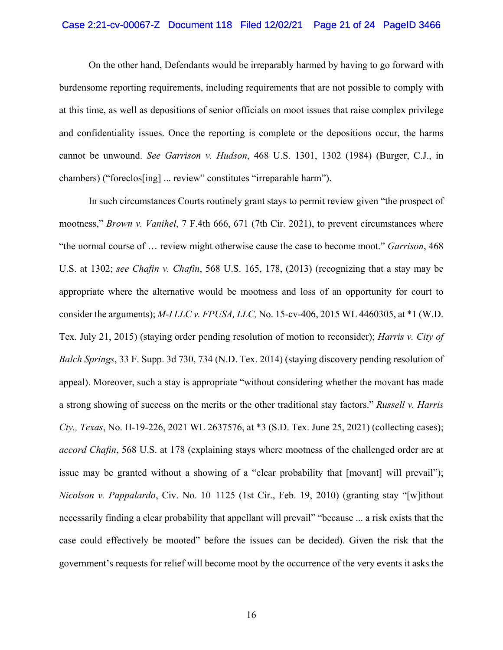### Case 2:21-cv-00067-Z Document 118 Filed 12/02/21 Page 21 of 24 PageID 3466

On the other hand, Defendants would be irreparably harmed by having to go forward with burdensome reporting requirements, including requirements that are not possible to comply with at this time, as well as depositions of senior officials on moot issues that raise complex privilege and confidentiality issues. Once the reporting is complete or the depositions occur, the harms cannot be unwound. *See Garrison v. Hudson*, 468 U.S. 1301, 1302 (1984) (Burger, C.J., in chambers) ("foreclos[ing] ... review" constitutes "irreparable harm").

In such circumstances Courts routinely grant stays to permit review given "the prospect of mootness," *Brown v. Vanihel*, 7 F.4th 666, 671 (7th Cir. 2021), to prevent circumstances where "the normal course of … review might otherwise cause the case to become moot." *Garrison*, 468 U.S. at 1302; *see Chafin v. Chafin*, 568 U.S. 165, 178, (2013) (recognizing that a stay may be appropriate where the alternative would be mootness and loss of an opportunity for court to consider the arguments); *M-I LLC v. FPUSA, LLC,* No. 15-cv-406, 2015 WL 4460305, at \*1 (W.D. Tex. July 21, 2015) (staying order pending resolution of motion to reconsider); *Harris v. City of Balch Springs*, 33 F. Supp. 3d 730, 734 (N.D. Tex. 2014) (staying discovery pending resolution of appeal). Moreover, such a stay is appropriate "without considering whether the movant has made a strong showing of success on the merits or the other traditional stay factors." *Russell v. Harris Cty., Texas*, No. H-19-226, 2021 WL 2637576, at \*3 (S.D. Tex. June 25, 2021) (collecting cases); *accord Chafin*, 568 U.S. at 178 (explaining stays where mootness of the challenged order are at issue may be granted without a showing of a "clear probability that [movant] will prevail"); *Nicolson v. Pappalardo*, Civ. No. 10–1125 (1st Cir., Feb. 19, 2010) (granting stay "[w]ithout necessarily finding a clear probability that appellant will prevail" "because ... a risk exists that the case could effectively be mooted" before the issues can be decided). Given the risk that the government's requests for relief will become moot by the occurrence of the very events it asks the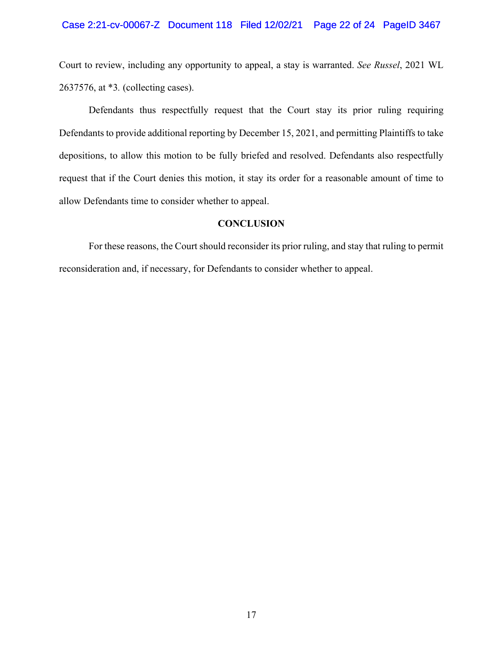### Case 2:21-cv-00067-Z Document 118 Filed 12/02/21 Page 22 of 24 PageID 3467

Court to review, including any opportunity to appeal, a stay is warranted. *See Russel*, 2021 WL 2637576, at \*3*.* (collecting cases).

Defendants thus respectfully request that the Court stay its prior ruling requiring Defendants to provide additional reporting by December 15, 2021, and permitting Plaintiffs to take depositions, to allow this motion to be fully briefed and resolved. Defendants also respectfully request that if the Court denies this motion, it stay its order for a reasonable amount of time to allow Defendants time to consider whether to appeal.

## **CONCLUSION**

For these reasons, the Court should reconsider its prior ruling, and stay that ruling to permit reconsideration and, if necessary, for Defendants to consider whether to appeal.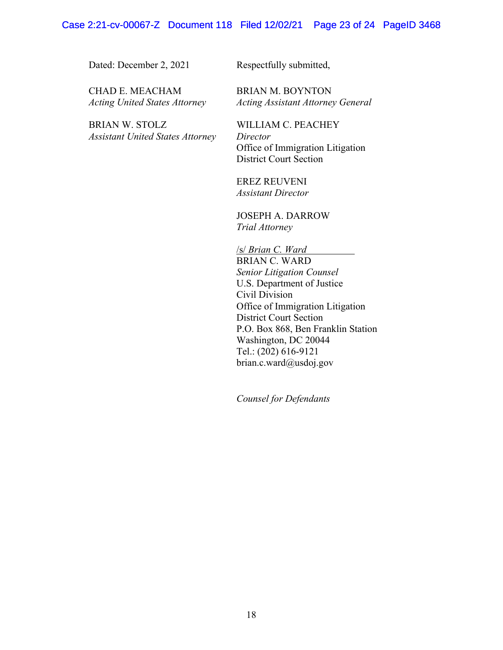### Case 2:21-cv-00067-Z Document 118 Filed 12/02/21 Page 23 of 24 PageID 3468

Dated: December 2, 2021 Respectfully submitted,

CHAD E. MEACHAM BRIAN M. BOYNTON

 *Acting United States Attorney Acting Assistant Attorney General* 

 BRIAN W. STOLZ WILLIAM C. PEACHEY *Assistant United States Attorney Director* 

Office of Immigration Litigation District Court Section

EREZ REUVENI *Assistant Director*

JOSEPH A. DARROW *Trial Attorney*

/s/ *Brian C. Ward* BRIAN C. WARD *Senior Litigation Counsel*  U.S. Department of Justice Civil Division Office of Immigration Litigation District Court Section P.O. Box 868, Ben Franklin Station Washington, DC 20044 Tel.: (202) 616-9121 brian.c.ward@usdoj.gov

*Counsel for Defendants*